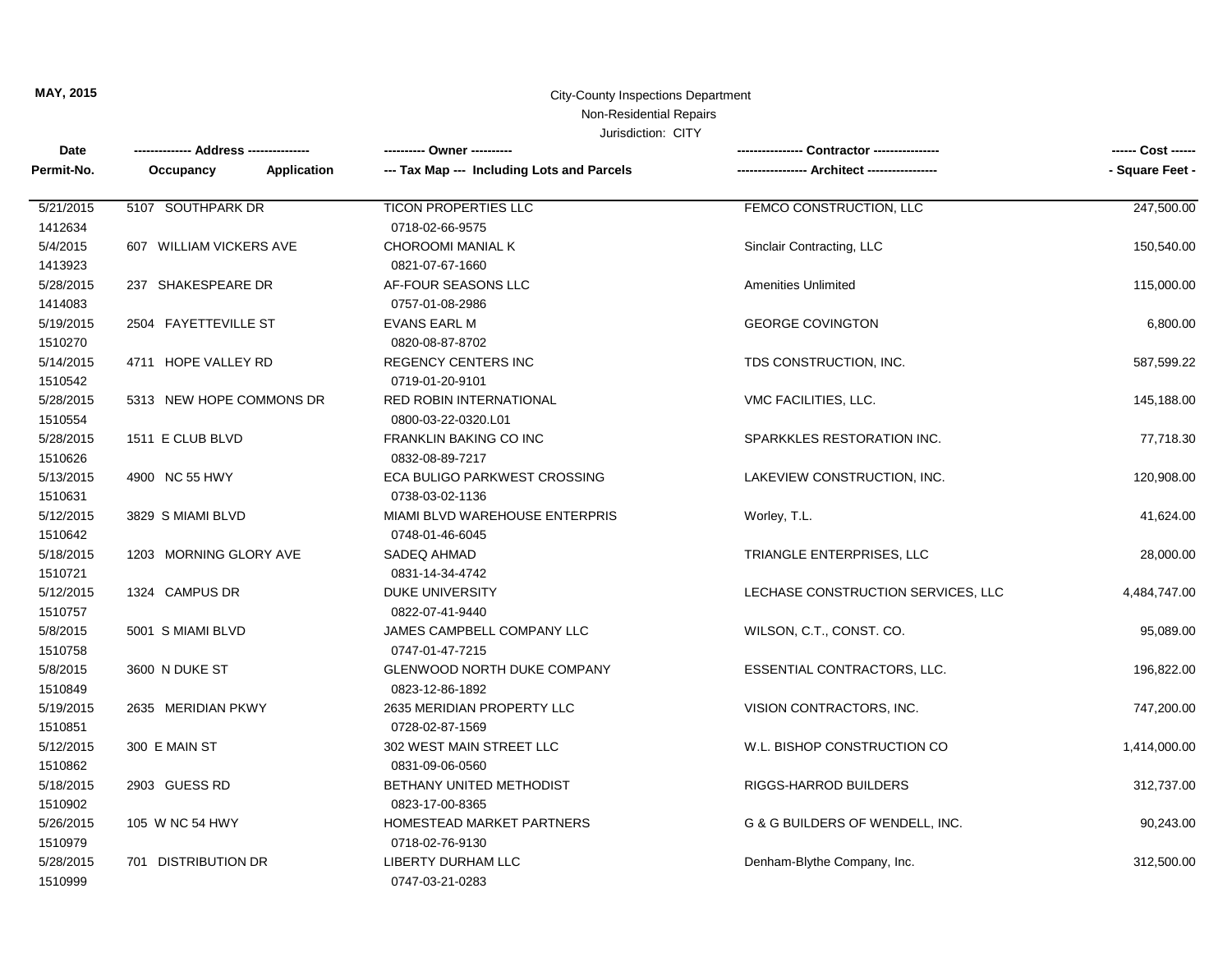## **MAY, 2015** City-County Inspections Department Non-Residential Repairs

| Date       |                          |                                            |                                              | ------ Cost ------ |
|------------|--------------------------|--------------------------------------------|----------------------------------------------|--------------------|
| Permit-No. | Application<br>Occupancy | --- Tax Map --- Including Lots and Parcels | ----------------- Architect ---------------- | - Square Feet -    |
| 5/21/2015  | 5107 SOUTHPARK DR        | <b>TICON PROPERTIES LLC</b>                | FEMCO CONSTRUCTION, LLC                      | 247,500.00         |
| 1412634    |                          | 0718-02-66-9575                            |                                              |                    |
| 5/4/2015   | 607 WILLIAM VICKERS AVE  | CHOROOMI MANIAL K                          | Sinclair Contracting, LLC                    | 150,540.00         |
| 1413923    |                          | 0821-07-67-1660                            |                                              |                    |
| 5/28/2015  | 237 SHAKESPEARE DR       | AF-FOUR SEASONS LLC                        | <b>Amenities Unlimited</b>                   | 115,000.00         |
| 1414083    |                          | 0757-01-08-2986                            |                                              |                    |
| 5/19/2015  | 2504 FAYETTEVILLE ST     | <b>EVANS EARL M</b>                        | <b>GEORGE COVINGTON</b>                      | 6,800.00           |
| 1510270    |                          | 0820-08-87-8702                            |                                              |                    |
| 5/14/2015  | 4711 HOPE VALLEY RD      | <b>REGENCY CENTERS INC</b>                 | TDS CONSTRUCTION, INC.                       | 587,599.22         |
| 1510542    |                          | 0719-01-20-9101                            |                                              |                    |
| 5/28/2015  | 5313 NEW HOPE COMMONS DR | <b>RED ROBIN INTERNATIONAL</b>             | VMC FACILITIES, LLC.                         | 145,188.00         |
| 1510554    |                          | 0800-03-22-0320.L01                        |                                              |                    |
| 5/28/2015  | 1511 E CLUB BLVD         | FRANKLIN BAKING CO INC                     | SPARKKLES RESTORATION INC.                   | 77,718.30          |
| 1510626    |                          | 0832-08-89-7217                            |                                              |                    |
| 5/13/2015  | 4900 NC 55 HWY           | ECA BULIGO PARKWEST CROSSING               | LAKEVIEW CONSTRUCTION, INC.                  | 120,908.00         |
| 1510631    |                          | 0738-03-02-1136                            |                                              |                    |
| 5/12/2015  | 3829 S MIAMI BLVD        | MIAMI BLVD WAREHOUSE ENTERPRIS             | Worley, T.L.                                 | 41,624.00          |
| 1510642    |                          | 0748-01-46-6045                            |                                              |                    |
| 5/18/2015  | 1203 MORNING GLORY AVE   | SADEQ AHMAD                                | TRIANGLE ENTERPRISES, LLC                    | 28,000.00          |
| 1510721    |                          | 0831-14-34-4742                            |                                              |                    |
| 5/12/2015  | 1324 CAMPUS DR           | DUKE UNIVERSITY                            | LECHASE CONSTRUCTION SERVICES, LLC           | 4,484,747.00       |
| 1510757    |                          | 0822-07-41-9440                            |                                              |                    |
| 5/8/2015   | 5001 S MIAMI BLVD        | JAMES CAMPBELL COMPANY LLC                 | WILSON, C.T., CONST. CO.                     | 95,089.00          |
| 1510758    |                          | 0747-01-47-7215                            |                                              |                    |
| 5/8/2015   | 3600 N DUKE ST           | <b>GLENWOOD NORTH DUKE COMPANY</b>         | ESSENTIAL CONTRACTORS, LLC.                  | 196,822.00         |
| 1510849    |                          | 0823-12-86-1892                            |                                              |                    |
| 5/19/2015  | 2635 MERIDIAN PKWY       | 2635 MERIDIAN PROPERTY LLC                 | VISION CONTRACTORS, INC.                     | 747,200.00         |
| 1510851    |                          | 0728-02-87-1569                            |                                              |                    |
| 5/12/2015  | 300 E MAIN ST            | 302 WEST MAIN STREET LLC                   | W.L. BISHOP CONSTRUCTION CO                  | 1,414,000.00       |
| 1510862    |                          | 0831-09-06-0560                            |                                              |                    |
| 5/18/2015  | 2903 GUESS RD            | BETHANY UNITED METHODIST                   | RIGGS-HARROD BUILDERS                        | 312,737.00         |
| 1510902    |                          | 0823-17-00-8365                            |                                              |                    |
| 5/26/2015  | 105 W NC 54 HWY          | HOMESTEAD MARKET PARTNERS                  | G & G BUILDERS OF WENDELL, INC.              | 90,243.00          |
| 1510979    |                          | 0718-02-76-9130                            |                                              |                    |
| 5/28/2015  | 701 DISTRIBUTION DR      | <b>LIBERTY DURHAM LLC</b>                  | Denham-Blythe Company, Inc.                  | 312,500.00         |
| 1510999    |                          | 0747-03-21-0283                            |                                              |                    |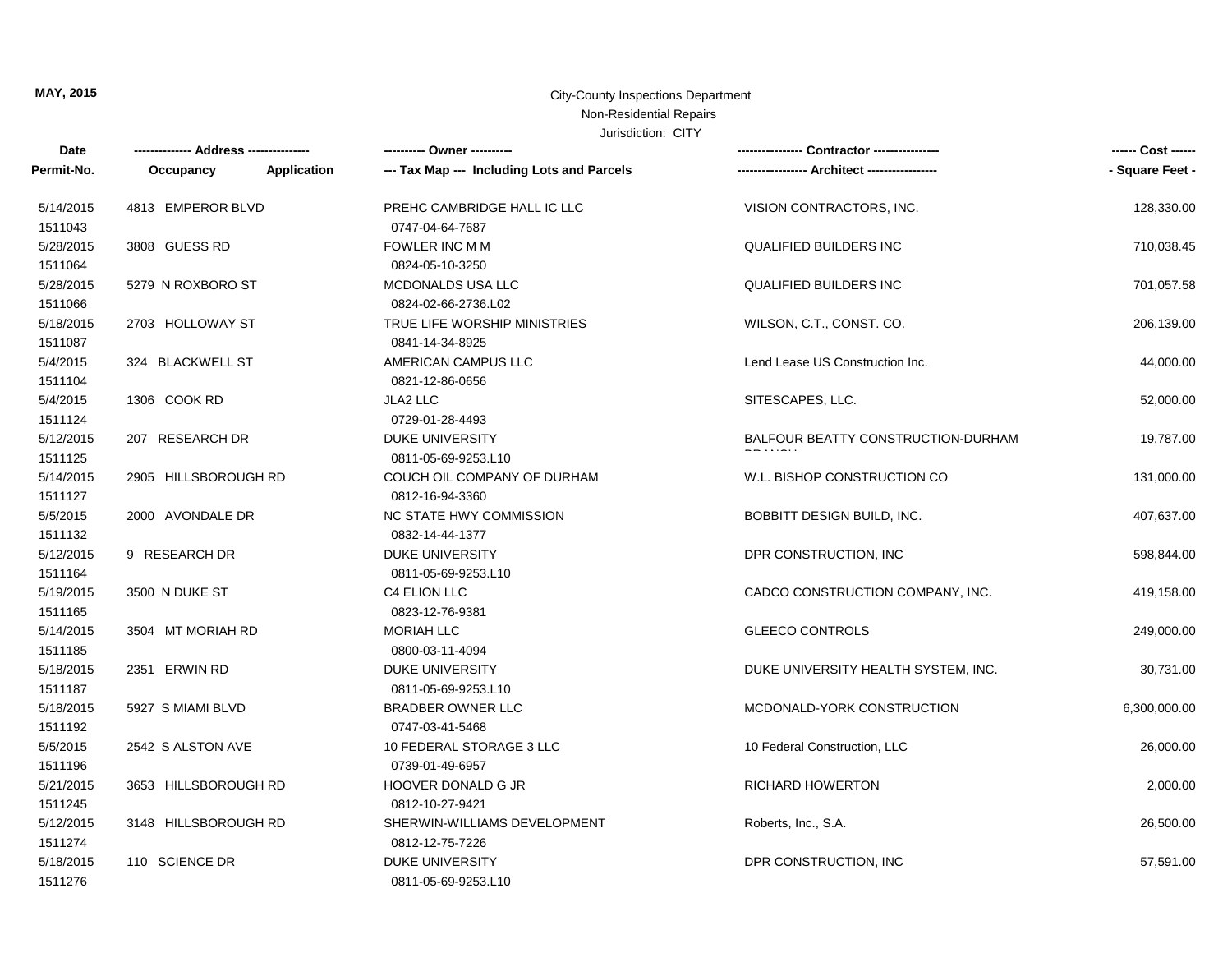## **MAY, 2015** City-County Inspections Department Non-Residential Repairs

| Date       | ------------- Address -------------- |             | ---------- Owner ----------                |                                     | ------ Cost ------ |
|------------|--------------------------------------|-------------|--------------------------------------------|-------------------------------------|--------------------|
| Permit-No. | Occupancy                            | Application | --- Tax Map --- Including Lots and Parcels |                                     | - Square Feet -    |
| 5/14/2015  | 4813 EMPEROR BLVD                    |             | PREHC CAMBRIDGE HALL IC LLC                | VISION CONTRACTORS, INC.            | 128,330.00         |
| 1511043    |                                      |             | 0747-04-64-7687                            |                                     |                    |
| 5/28/2015  | 3808 GUESS RD                        |             | <b>FOWLER INC M M</b>                      | <b>QUALIFIED BUILDERS INC</b>       | 710,038.45         |
| 1511064    |                                      |             | 0824-05-10-3250                            |                                     |                    |
| 5/28/2015  | 5279 N ROXBORO ST                    |             | MCDONALDS USA LLC                          | <b>QUALIFIED BUILDERS INC</b>       | 701,057.58         |
| 1511066    |                                      |             | 0824-02-66-2736.L02                        |                                     |                    |
| 5/18/2015  | 2703 HOLLOWAY ST                     |             | TRUE LIFE WORSHIP MINISTRIES               | WILSON, C.T., CONST. CO.            | 206,139.00         |
| 1511087    |                                      |             | 0841-14-34-8925                            |                                     |                    |
| 5/4/2015   | 324 BLACKWELL ST                     |             | AMERICAN CAMPUS LLC                        | Lend Lease US Construction Inc.     | 44,000.00          |
| 1511104    |                                      |             | 0821-12-86-0656                            |                                     |                    |
| 5/4/2015   | 1306 COOK RD                         |             | JLA2 LLC                                   | SITESCAPES, LLC.                    | 52,000.00          |
| 1511124    |                                      |             | 0729-01-28-4493                            |                                     |                    |
| 5/12/2015  | 207 RESEARCH DR                      |             | <b>DUKE UNIVERSITY</b>                     | BALFOUR BEATTY CONSTRUCTION-DURHAM  | 19,787.00          |
| 1511125    |                                      |             | 0811-05-69-9253.L10                        |                                     |                    |
| 5/14/2015  | 2905 HILLSBOROUGH RD                 |             | COUCH OIL COMPANY OF DURHAM                | W.L. BISHOP CONSTRUCTION CO         | 131,000.00         |
| 1511127    |                                      |             | 0812-16-94-3360                            |                                     |                    |
| 5/5/2015   | 2000 AVONDALE DR                     |             | NC STATE HWY COMMISSION                    | BOBBITT DESIGN BUILD, INC.          | 407,637.00         |
| 1511132    |                                      |             | 0832-14-44-1377                            |                                     |                    |
| 5/12/2015  | 9 RESEARCH DR                        |             | <b>DUKE UNIVERSITY</b>                     | DPR CONSTRUCTION, INC               | 598,844.00         |
| 1511164    |                                      |             | 0811-05-69-9253.L10                        |                                     |                    |
| 5/19/2015  | 3500 N DUKE ST                       |             | C4 ELION LLC                               | CADCO CONSTRUCTION COMPANY, INC.    | 419,158.00         |
| 1511165    |                                      |             | 0823-12-76-9381                            |                                     |                    |
| 5/14/2015  | 3504 MT MORIAH RD                    |             | <b>MORIAH LLC</b>                          | <b>GLEECO CONTROLS</b>              | 249,000.00         |
| 1511185    |                                      |             | 0800-03-11-4094                            |                                     |                    |
| 5/18/2015  | 2351 ERWIN RD                        |             | DUKE UNIVERSITY                            | DUKE UNIVERSITY HEALTH SYSTEM, INC. | 30,731.00          |
| 1511187    |                                      |             | 0811-05-69-9253.L10                        |                                     |                    |
| 5/18/2015  | 5927 S MIAMI BLVD                    |             | <b>BRADBER OWNER LLC</b>                   | MCDONALD-YORK CONSTRUCTION          | 6,300,000.00       |
| 1511192    |                                      |             | 0747-03-41-5468                            |                                     |                    |
| 5/5/2015   | 2542 S ALSTON AVE                    |             | 10 FEDERAL STORAGE 3 LLC                   | 10 Federal Construction, LLC        | 26,000.00          |
| 1511196    |                                      |             | 0739-01-49-6957                            |                                     |                    |
| 5/21/2015  | 3653 HILLSBOROUGH RD                 |             | HOOVER DONALD G JR                         | <b>RICHARD HOWERTON</b>             | 2,000.00           |
| 1511245    |                                      |             | 0812-10-27-9421                            |                                     |                    |
| 5/12/2015  | 3148 HILLSBOROUGH RD                 |             | SHERWIN-WILLIAMS DEVELOPMENT               | Roberts, Inc., S.A.                 | 26,500.00          |
| 1511274    |                                      |             | 0812-12-75-7226                            |                                     |                    |
| 5/18/2015  | 110 SCIENCE DR                       |             | <b>DUKE UNIVERSITY</b>                     | DPR CONSTRUCTION, INC               | 57,591.00          |
| 1511276    |                                      |             | 0811-05-69-9253.L10                        |                                     |                    |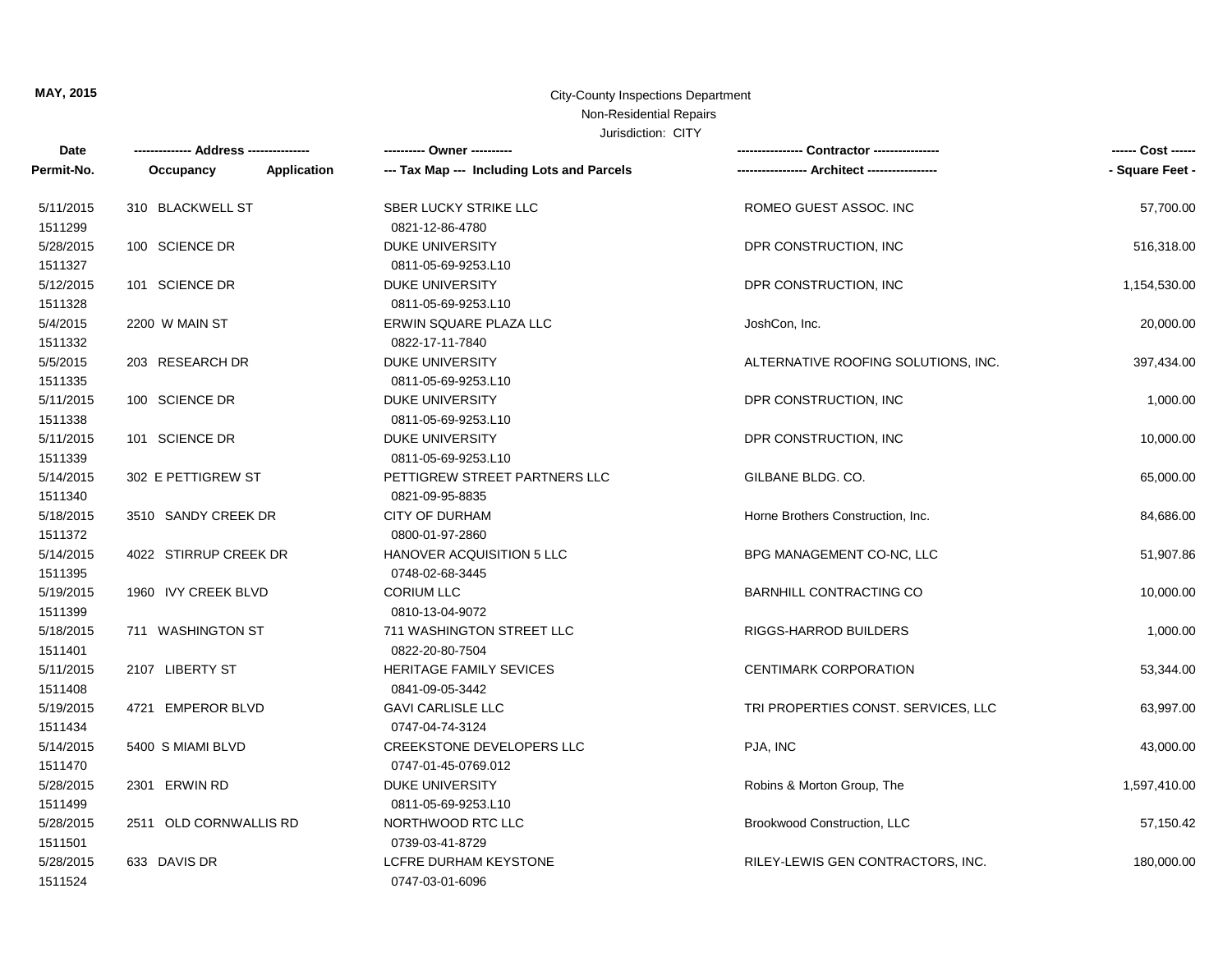## **MAY, 2015** City-County Inspections Department Non-Residential Repairs

| Date                 |                          | ---------- Owner ----------                             |                                     | ------ Cost ------ |
|----------------------|--------------------------|---------------------------------------------------------|-------------------------------------|--------------------|
| Permit-No.           | Application<br>Occupancy | --- Tax Map --- Including Lots and Parcels              |                                     | - Square Feet -    |
| 5/11/2015<br>1511299 | 310 BLACKWELL ST         | SBER LUCKY STRIKE LLC<br>0821-12-86-4780                | ROMEO GUEST ASSOC. INC              | 57,700.00          |
| 5/28/2015<br>1511327 | 100 SCIENCE DR           | <b>DUKE UNIVERSITY</b><br>0811-05-69-9253.L10           | DPR CONSTRUCTION, INC               | 516,318.00         |
| 5/12/2015<br>1511328 | 101 SCIENCE DR           | <b>DUKE UNIVERSITY</b><br>0811-05-69-9253.L10           | DPR CONSTRUCTION, INC               | 1,154,530.00       |
| 5/4/2015<br>1511332  | 2200 W MAIN ST           | ERWIN SQUARE PLAZA LLC<br>0822-17-11-7840               | JoshCon, Inc.                       | 20,000.00          |
| 5/5/2015<br>1511335  | 203 RESEARCH DR          | <b>DUKE UNIVERSITY</b><br>0811-05-69-9253.L10           | ALTERNATIVE ROOFING SOLUTIONS, INC. | 397,434.00         |
| 5/11/2015<br>1511338 | 100 SCIENCE DR           | <b>DUKE UNIVERSITY</b><br>0811-05-69-9253.L10           | DPR CONSTRUCTION, INC               | 1,000.00           |
| 5/11/2015<br>1511339 | 101 SCIENCE DR           | <b>DUKE UNIVERSITY</b><br>0811-05-69-9253.L10           | DPR CONSTRUCTION, INC               | 10,000.00          |
| 5/14/2015<br>1511340 | 302 E PETTIGREW ST       | PETTIGREW STREET PARTNERS LLC<br>0821-09-95-8835        | GILBANE BLDG, CO.                   | 65,000.00          |
| 5/18/2015<br>1511372 | 3510 SANDY CREEK DR      | <b>CITY OF DURHAM</b><br>0800-01-97-2860                | Horne Brothers Construction, Inc.   | 84,686.00          |
| 5/14/2015<br>1511395 | 4022 STIRRUP CREEK DR    | <b>HANOVER ACQUISITION 5 LLC</b><br>0748-02-68-3445     | BPG MANAGEMENT CO-NC, LLC           | 51,907.86          |
| 5/19/2015<br>1511399 | 1960 IVY CREEK BLVD      | <b>CORIUM LLC</b><br>0810-13-04-9072                    | <b>BARNHILL CONTRACTING CO</b>      | 10,000.00          |
| 5/18/2015<br>1511401 | 711 WASHINGTON ST        | 711 WASHINGTON STREET LLC<br>0822-20-80-7504            | RIGGS-HARROD BUILDERS               | 1,000.00           |
| 5/11/2015<br>1511408 | 2107 LIBERTY ST          | <b>HERITAGE FAMILY SEVICES</b><br>0841-09-05-3442       | <b>CENTIMARK CORPORATION</b>        | 53,344.00          |
| 5/19/2015<br>1511434 | 4721 EMPEROR BLVD        | <b>GAVI CARLISLE LLC</b><br>0747-04-74-3124             | TRI PROPERTIES CONST. SERVICES, LLC | 63,997.00          |
| 5/14/2015<br>1511470 | 5400 S MIAMI BLVD        | <b>CREEKSTONE DEVELOPERS LLC</b><br>0747-01-45-0769.012 | PJA, INC                            | 43,000.00          |
| 5/28/2015<br>1511499 | 2301 ERWIN RD            | <b>DUKE UNIVERSITY</b><br>0811-05-69-9253.L10           | Robins & Morton Group, The          | 1,597,410.00       |
| 5/28/2015<br>1511501 | 2511 OLD CORNWALLIS RD   | NORTHWOOD RTC LLC<br>0739-03-41-8729                    | Brookwood Construction, LLC         | 57,150.42          |
| 5/28/2015<br>1511524 | 633 DAVIS DR             | LCFRE DURHAM KEYSTONE<br>0747-03-01-6096                | RILEY-LEWIS GEN CONTRACTORS, INC.   | 180,000.00         |